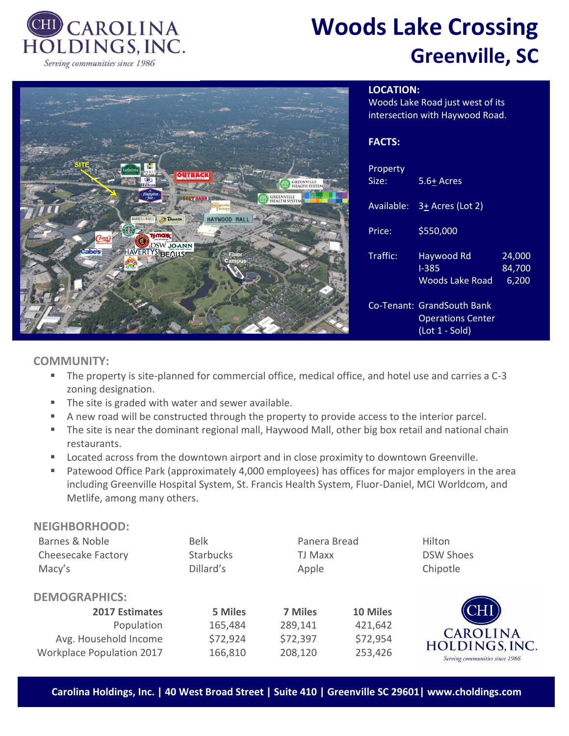

# **Woods Lake Crossing Greenville, SC**



## **LOCATION:**

Woods Lake Road just west of its intersection with Haywood Road.

#### **FACTS:**

| Property<br>Size: | 5.6+ Acres                                                                     |                           |
|-------------------|--------------------------------------------------------------------------------|---------------------------|
| Available:        | 3+ Acres (Lot 2)                                                               |                           |
| Price:            | \$550,000                                                                      |                           |
| Traffic:          | Haywood Rd<br>$1 - 385$<br>Woods Lake Road                                     | 24,000<br>84.700<br>6,200 |
|                   | Co-Tenant: GrandSouth Bank<br><b>Operations Center</b><br>$($ Lot 1 - Sold $)$ |                           |

## **COMMUNITY:**

- The property is site-planned for commercial office, medical office, and hotel use and carries a C-3 zoning designation.
- The site is graded with water and sewer available.
- A new road will be constructed through the property to provide access to the interior parcel.
- **•** The site is near the dominant regional mall, Haywood Mall, other big box retail and national chain restaurants.
- Located across from the downtown airport and in close proximity to downtown Greenville.
- Patewood Office Park (approximately 4,000 employees) has offices for major employers in the area including Greenville Hospital System, St. Francis Health System, Fluor-Daniel, MCI Worldcom, and Metlife, among many others.

| <b>NEIGHBORHOOD:</b>             |                  |                |          |                                   |
|----------------------------------|------------------|----------------|----------|-----------------------------------|
| Barnes & Noble                   | <b>Belk</b>      | Panera Bread   |          | Hilton                            |
| <b>Cheesecake Factory</b>        | <b>Starbucks</b> | <b>TJ Maxx</b> |          | <b>DSW Shoes</b>                  |
| Macy's                           | Dillard's        | Apple          |          | Chipotle                          |
| <b>DEMOGRAPHICS:</b>             |                  |                |          |                                   |
| <b>2017 Estimates</b>            | 5 Miles          | 7 Miles        | 10 Miles | ĴН                                |
| Population                       | 165,484          | 289,141        | 421,642  |                                   |
| Avg. Household Income            | \$72,924         | \$72,397       | \$72,954 | <b>CAROLINA</b><br>HOLDINGS, INC. |
| <b>Workplace Population 2017</b> | 166,810          | 208,120        | 253,426  | Serving communities since 1986    |

**Carolina Holdings, Inc. | 40 West Broad Street | Suite 410 | Greenville SC 29601| www.choldings.com**